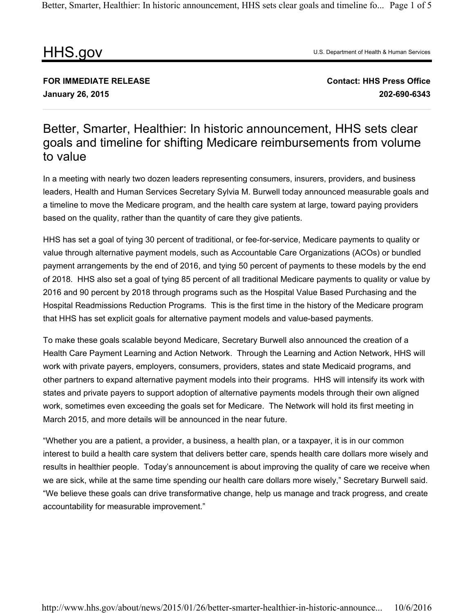Better, Smarter, Healthier: In historic announcement, HHS sets clear goals and timeline fo... Page 1 of 5

## HHS.gov

U.S. Department of Health & Human Services

**FOR IMMEDIATE RELEASE January 26, 2015**

**Contact: HHS Press Office 202-690-6343**

## Better, Smarter, Healthier: In historic announcement, HHS sets clear goals and timeline for shifting Medicare reimbursements from volume to value

In a meeting with nearly two dozen leaders representing consumers, insurers, providers, and business leaders, Health and Human Services Secretary Sylvia M. Burwell today announced measurable goals and a timeline to move the Medicare program, and the health care system at large, toward paying providers based on the quality, rather than the quantity of care they give patients.

HHS has set a goal of tying 30 percent of traditional, or fee-for-service, Medicare payments to quality or value through alternative payment models, such as Accountable Care Organizations (ACOs) or bundled payment arrangements by the end of 2016, and tying 50 percent of payments to these models by the end of 2018. HHS also set a goal of tying 85 percent of all traditional Medicare payments to quality or value by 2016 and 90 percent by 2018 through programs such as the Hospital Value Based Purchasing and the Hospital Readmissions Reduction Programs. This is the first time in the history of the Medicare program that HHS has set explicit goals for alternative payment models and value-based payments.

To make these goals scalable beyond Medicare, Secretary Burwell also announced the creation of a Health Care Payment Learning and Action Network. Through the Learning and Action Network, HHS will work with private payers, employers, consumers, providers, states and state Medicaid programs, and other partners to expand alternative payment models into their programs. HHS will intensify its work with states and private payers to support adoption of alternative payments models through their own aligned work, sometimes even exceeding the goals set for Medicare. The Network will hold its first meeting in March 2015, and more details will be announced in the near future.

"Whether you are a patient, a provider, a business, a health plan, or a taxpayer, it is in our common interest to build a health care system that delivers better care, spends health care dollars more wisely and results in healthier people. Today's announcement is about improving the quality of care we receive when we are sick, while at the same time spending our health care dollars more wisely," Secretary Burwell said. "We believe these goals can drive transformative change, help us manage and track progress, and create accountability for measurable improvement."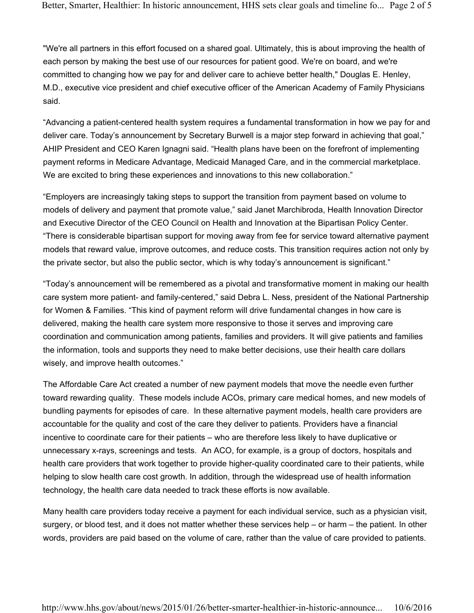"We're all partners in this effort focused on a shared goal. Ultimately, this is about improving the health of each person by making the best use of our resources for patient good. We're on board, and we're committed to changing how we pay for and deliver care to achieve better health," Douglas E. Henley, M.D., executive vice president and chief executive officer of the American Academy of Family Physicians said.

"Advancing a patient-centered health system requires a fundamental transformation in how we pay for and deliver care. Today's announcement by Secretary Burwell is a major step forward in achieving that goal," AHIP President and CEO Karen Ignagni said. "Health plans have been on the forefront of implementing payment reforms in Medicare Advantage, Medicaid Managed Care, and in the commercial marketplace. We are excited to bring these experiences and innovations to this new collaboration."

"Employers are increasingly taking steps to support the transition from payment based on volume to models of delivery and payment that promote value," said Janet Marchibroda, Health Innovation Director and Executive Director of the CEO Council on Health and Innovation at the Bipartisan Policy Center. "There is considerable bipartisan support for moving away from fee for service toward alternative payment models that reward value, improve outcomes, and reduce costs. This transition requires action not only by the private sector, but also the public sector, which is why today's announcement is significant."

"Today's announcement will be remembered as a pivotal and transformative moment in making our health care system more patient- and family-centered," said Debra L. Ness, president of the National Partnership for Women & Families. "This kind of payment reform will drive fundamental changes in how care is delivered, making the health care system more responsive to those it serves and improving care coordination and communication among patients, families and providers. It will give patients and families the information, tools and supports they need to make better decisions, use their health care dollars wisely, and improve health outcomes."

The Affordable Care Act created a number of new payment models that move the needle even further toward rewarding quality. These models include ACOs, primary care medical homes, and new models of bundling payments for episodes of care. In these alternative payment models, health care providers are accountable for the quality and cost of the care they deliver to patients. Providers have a financial incentive to coordinate care for their patients – who are therefore less likely to have duplicative or unnecessary x-rays, screenings and tests. An ACO, for example, is a group of doctors, hospitals and health care providers that work together to provide higher-quality coordinated care to their patients, while helping to slow health care cost growth. In addition, through the widespread use of health information technology, the health care data needed to track these efforts is now available.

Many health care providers today receive a payment for each individual service, such as a physician visit, surgery, or blood test, and it does not matter whether these services help – or harm – the patient. In other words, providers are paid based on the volume of care, rather than the value of care provided to patients.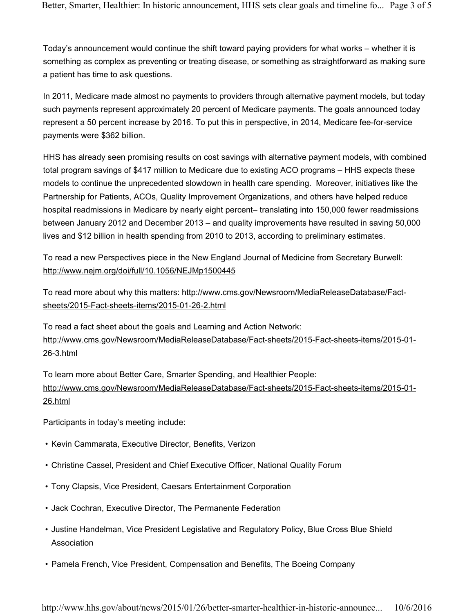Today's announcement would continue the shift toward paying providers for what works – whether it is something as complex as preventing or treating disease, or something as straightforward as making sure a patient has time to ask questions.

In 2011, Medicare made almost no payments to providers through alternative payment models, but today such payments represent approximately 20 percent of Medicare payments. The goals announced today represent a 50 percent increase by 2016. To put this in perspective, in 2014, Medicare fee-for-service payments were \$362 billion.

HHS has already seen promising results on cost savings with alternative payment models, with combined total program savings of \$417 million to Medicare due to existing ACO programs – HHS expects these models to continue the unprecedented slowdown in health care spending. Moreover, initiatives like the Partnership for Patients, ACOs, Quality Improvement Organizations, and others have helped reduce hospital readmissions in Medicare by nearly eight percent– translating into 150,000 fewer readmissions between January 2012 and December 2013 – and quality improvements have resulted in saving 50,000 lives and \$12 billion in health spending from 2010 to 2013, according to preliminary estimates.

To read a new Perspectives piece in the New England Journal of Medicine from Secretary Burwell: http://www.nejm.org/doi/full/10.1056/NEJMp1500445

To read more about why this matters: http://www.cms.gov/Newsroom/MediaReleaseDatabase/Factsheets/2015-Fact-sheets-items/2015-01-26-2.html

To read a fact sheet about the goals and Learning and Action Network: http://www.cms.gov/Newsroom/MediaReleaseDatabase/Fact-sheets/2015-Fact-sheets-items/2015-01- 26-3.html

To learn more about Better Care, Smarter Spending, and Healthier People: http://www.cms.gov/Newsroom/MediaReleaseDatabase/Fact-sheets/2015-Fact-sheets-items/2015-01- 26.html

Participants in today's meeting include:

- Kevin Cammarata, Executive Director, Benefits, Verizon
- Christine Cassel, President and Chief Executive Officer, National Quality Forum
- Tony Clapsis, Vice President, Caesars Entertainment Corporation
- Jack Cochran, Executive Director, The Permanente Federation
- Justine Handelman, Vice President Legislative and Regulatory Policy, Blue Cross Blue Shield **Association**
- Pamela French, Vice President, Compensation and Benefits, The Boeing Company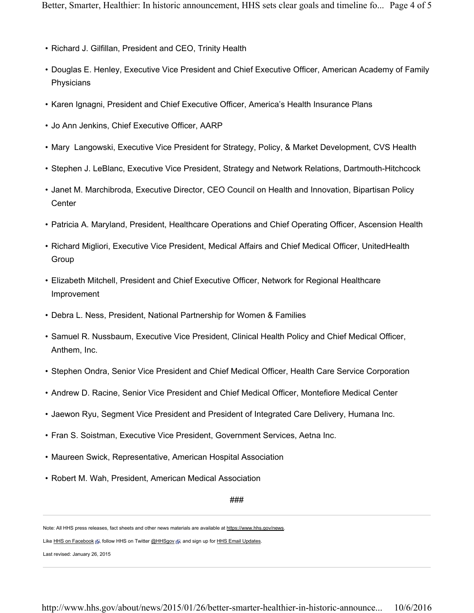- Richard J. Gilfillan, President and CEO, Trinity Health
- Douglas E. Henley, Executive Vice President and Chief Executive Officer, American Academy of Family Physicians
- Karen Ignagni, President and Chief Executive Officer, America's Health Insurance Plans
- Jo Ann Jenkins, Chief Executive Officer, AARP
- Mary Langowski, Executive Vice President for Strategy, Policy, & Market Development, CVS Health
- Stephen J. LeBlanc, Executive Vice President, Strategy and Network Relations, Dartmouth-Hitchcock
- Janet M. Marchibroda, Executive Director, CEO Council on Health and Innovation, Bipartisan Policy **Center**
- Patricia A. Maryland, President, Healthcare Operations and Chief Operating Officer, Ascension Health
- Richard Migliori, Executive Vice President, Medical Affairs and Chief Medical Officer, UnitedHealth Group
- Elizabeth Mitchell, President and Chief Executive Officer, Network for Regional Healthcare Improvement
- Debra L. Ness, President, National Partnership for Women & Families
- Samuel R. Nussbaum, Executive Vice President, Clinical Health Policy and Chief Medical Officer, Anthem, Inc.
- Stephen Ondra, Senior Vice President and Chief Medical Officer, Health Care Service Corporation
- Andrew D. Racine, Senior Vice President and Chief Medical Officer, Montefiore Medical Center
- Jaewon Ryu, Segment Vice President and President of Integrated Care Delivery, Humana Inc.
- Fran S. Soistman, Executive Vice President, Government Services, Aetna Inc.
- Maureen Swick, Representative, American Hospital Association
- Robert M. Wah, President, American Medical Association

###

Note: All HHS press releases, fact sheets and other news materials are available at https://www.hhs.gov/news.

Like HHS on Facebook , Follow HHS on Twitter @HHSgov , and sign up for HHS Email Updates.

Last revised: January 26, 2015